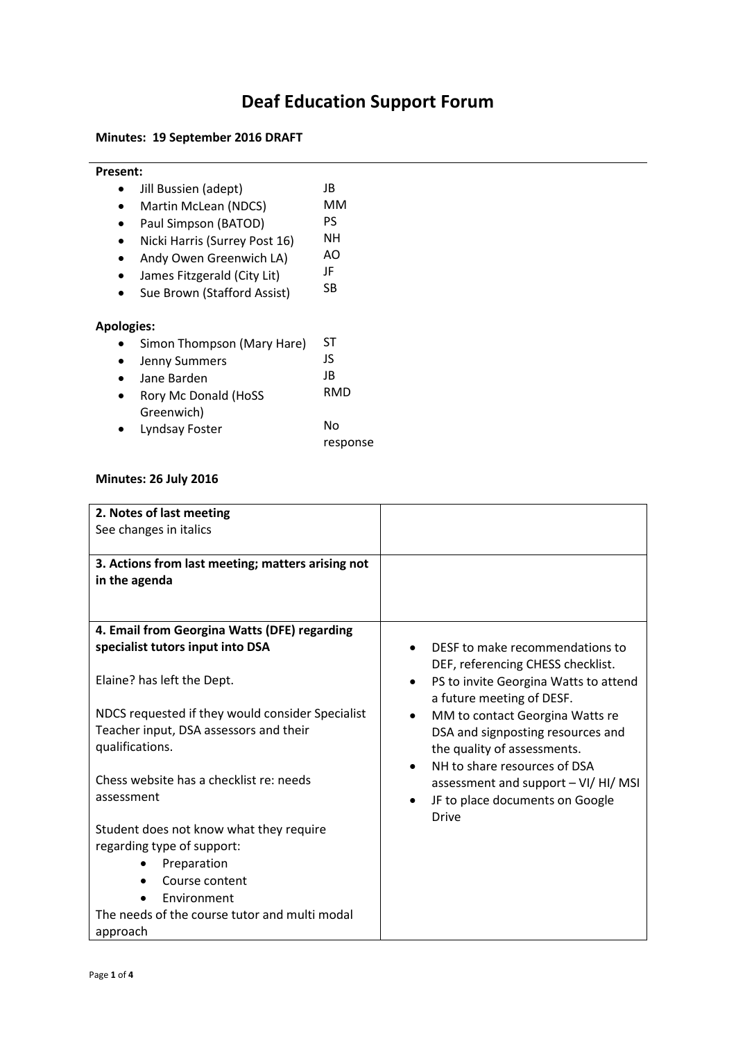## **Deaf Education Support Forum**

## **Minutes: 19 September 2016 DRAFT**

| <b>Present:</b>   |                               |          |
|-------------------|-------------------------------|----------|
|                   | Jill Bussien (adept)          | JB       |
|                   | Martin McLean (NDCS)          | мм       |
|                   | Paul Simpson (BATOD)          | PS       |
|                   | Nicki Harris (Surrey Post 16) | NΗ       |
|                   | Andy Owen Greenwich LA)       | AΟ       |
|                   | James Fitzgerald (City Lit)   | JF       |
|                   | Sue Brown (Stafford Assist)   | SB       |
| <b>Apologies:</b> |                               |          |
|                   | Simon Thompson (Mary Hare)    | ST       |
|                   | <b>Jenny Summers</b>          | JS       |
|                   | Jane Barden                   | JB       |
|                   | Rory Mc Donald (HoSS          | RMD      |
|                   | Greenwich)                    |          |
|                   | Lyndsay Foster                | No       |
|                   |                               | response |

## **Minutes: 26 July 2016**

| 2. Notes of last meeting<br>See changes in italics                 |                                                                                                                         |
|--------------------------------------------------------------------|-------------------------------------------------------------------------------------------------------------------------|
| 3. Actions from last meeting; matters arising not<br>in the agenda |                                                                                                                         |
| 4. Email from Georgina Watts (DFE) regarding                       |                                                                                                                         |
| specialist tutors input into DSA                                   | DESF to make recommendations to                                                                                         |
| Elaine? has left the Dept.                                         | DEF, referencing CHESS checklist.<br>PS to invite Georgina Watts to attend<br>$\bullet$<br>a future meeting of DESF.    |
| NDCS requested if they would consider Specialist                   | MM to contact Georgina Watts re<br>$\bullet$                                                                            |
| Teacher input, DSA assessors and their<br>qualifications.          | DSA and signposting resources and<br>the quality of assessments.                                                        |
| Chess website has a checklist re: needs<br>assessment              | NH to share resources of DSA<br>assessment and support - VI/ HI/ MSI<br>JF to place documents on Google<br><b>Drive</b> |
| Student does not know what they require                            |                                                                                                                         |
| regarding type of support:                                         |                                                                                                                         |
| Preparation                                                        |                                                                                                                         |
| Course content                                                     |                                                                                                                         |
| Environment                                                        |                                                                                                                         |
| The needs of the course tutor and multi modal                      |                                                                                                                         |
| approach                                                           |                                                                                                                         |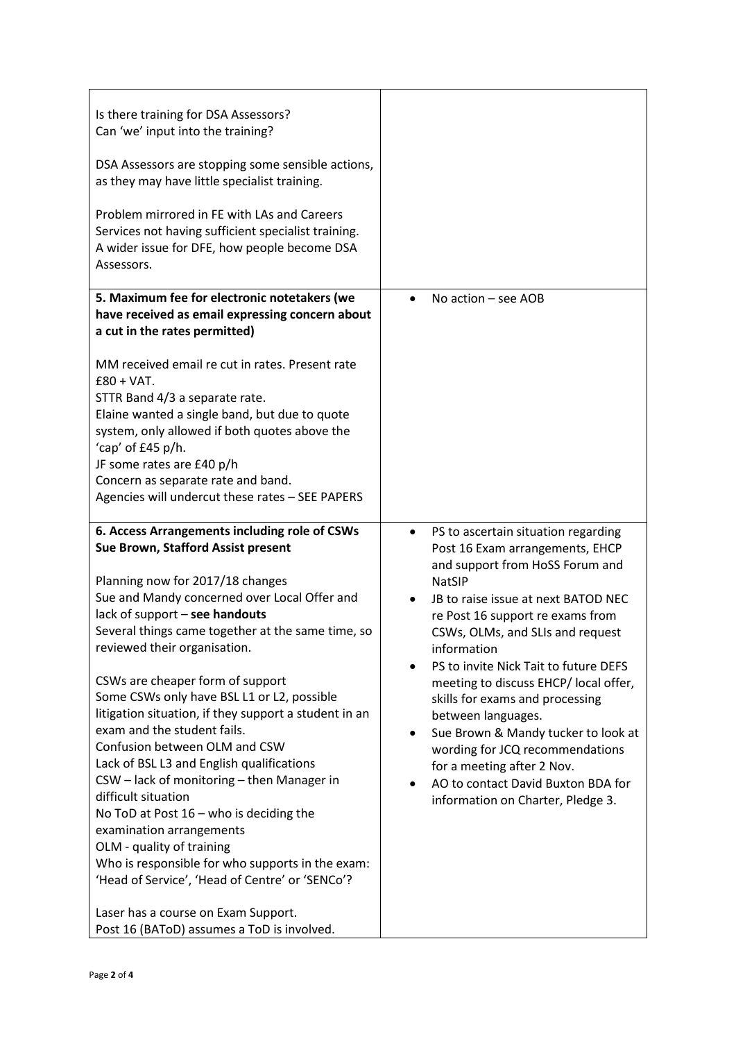| Is there training for DSA Assessors?<br>Can 'we' input into the training?<br>DSA Assessors are stopping some sensible actions,<br>as they may have little specialist training.<br>Problem mirrored in FE with LAs and Careers<br>Services not having sufficient specialist training.<br>A wider issue for DFE, how people become DSA<br>Assessors.                                                                                                                                                                                                                                                                                                                                                                                                                                                                                                                                                                            |                                                                                                                                                                                                                                                                                                                                                                                                                                                                                                                                                                                                     |
|-------------------------------------------------------------------------------------------------------------------------------------------------------------------------------------------------------------------------------------------------------------------------------------------------------------------------------------------------------------------------------------------------------------------------------------------------------------------------------------------------------------------------------------------------------------------------------------------------------------------------------------------------------------------------------------------------------------------------------------------------------------------------------------------------------------------------------------------------------------------------------------------------------------------------------|-----------------------------------------------------------------------------------------------------------------------------------------------------------------------------------------------------------------------------------------------------------------------------------------------------------------------------------------------------------------------------------------------------------------------------------------------------------------------------------------------------------------------------------------------------------------------------------------------------|
| 5. Maximum fee for electronic notetakers (we<br>have received as email expressing concern about<br>a cut in the rates permitted)<br>MM received email re cut in rates. Present rate<br>$£80 + VAT.$<br>STTR Band 4/3 a separate rate.<br>Elaine wanted a single band, but due to quote<br>system, only allowed if both quotes above the<br>'cap' of £45 p/h.<br>JF some rates are £40 p/h<br>Concern as separate rate and band.<br>Agencies will undercut these rates - SEE PAPERS                                                                                                                                                                                                                                                                                                                                                                                                                                            | No action $-$ see AOB                                                                                                                                                                                                                                                                                                                                                                                                                                                                                                                                                                               |
| 6. Access Arrangements including role of CSWs<br>Sue Brown, Stafford Assist present<br>Planning now for 2017/18 changes<br>Sue and Mandy concerned over Local Offer and<br>lack of support - see handouts<br>Several things came together at the same time, so<br>reviewed their organisation.<br>CSWs are cheaper form of support<br>Some CSWs only have BSL L1 or L2, possible<br>litigation situation, if they support a student in an<br>exam and the student fails.<br>Confusion between OLM and CSW<br>Lack of BSL L3 and English qualifications<br>CSW - lack of monitoring - then Manager in<br>difficult situation<br>No ToD at Post $16 -$ who is deciding the<br>examination arrangements<br>OLM - quality of training<br>Who is responsible for who supports in the exam:<br>'Head of Service', 'Head of Centre' or 'SENCo'?<br>Laser has a course on Exam Support.<br>Post 16 (BAToD) assumes a ToD is involved. | PS to ascertain situation regarding<br>$\bullet$<br>Post 16 Exam arrangements, EHCP<br>and support from HoSS Forum and<br><b>NatSIP</b><br>JB to raise issue at next BATOD NEC<br>re Post 16 support re exams from<br>CSWs, OLMs, and SLIs and request<br>information<br>PS to invite Nick Tait to future DEFS<br>meeting to discuss EHCP/ local offer,<br>skills for exams and processing<br>between languages.<br>Sue Brown & Mandy tucker to look at<br>wording for JCQ recommendations<br>for a meeting after 2 Nov.<br>AO to contact David Buxton BDA for<br>information on Charter, Pledge 3. |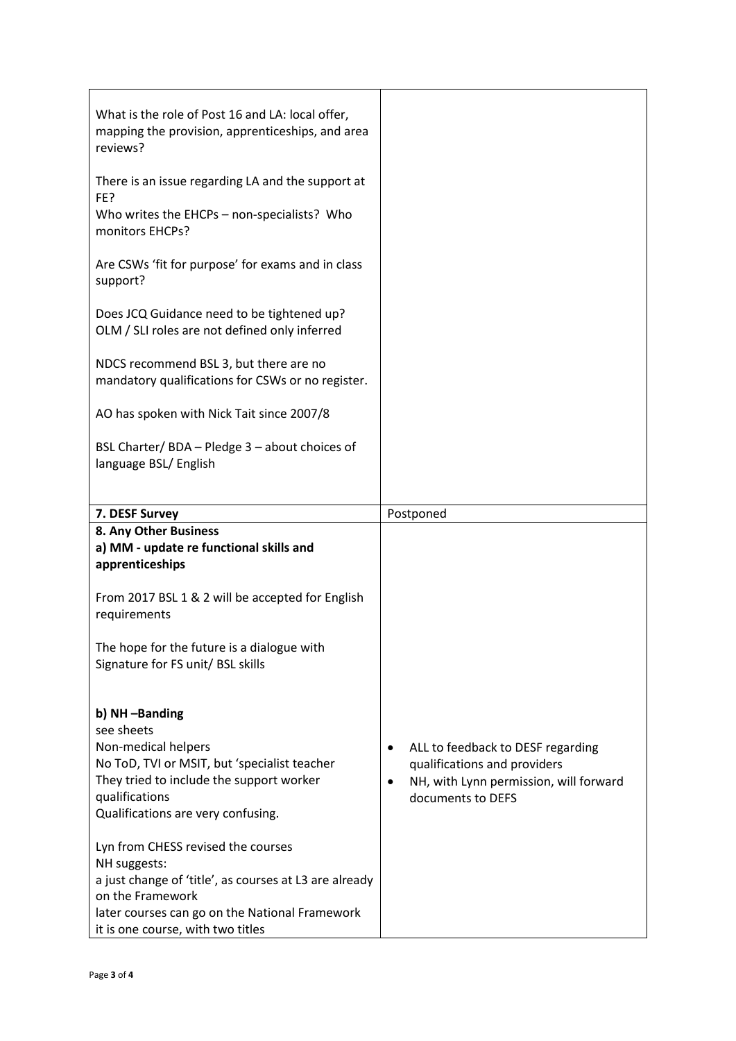| What is the role of Post 16 and LA: local offer,<br>mapping the provision, apprenticeships, and area<br>reviews?                                                                                                        |                                                                                                                                            |
|-------------------------------------------------------------------------------------------------------------------------------------------------------------------------------------------------------------------------|--------------------------------------------------------------------------------------------------------------------------------------------|
| There is an issue regarding LA and the support at<br>FE?<br>Who writes the EHCPs - non-specialists? Who<br>monitors EHCPs?                                                                                              |                                                                                                                                            |
| Are CSWs 'fit for purpose' for exams and in class<br>support?                                                                                                                                                           |                                                                                                                                            |
| Does JCQ Guidance need to be tightened up?<br>OLM / SLI roles are not defined only inferred                                                                                                                             |                                                                                                                                            |
| NDCS recommend BSL 3, but there are no<br>mandatory qualifications for CSWs or no register.                                                                                                                             |                                                                                                                                            |
| AO has spoken with Nick Tait since 2007/8                                                                                                                                                                               |                                                                                                                                            |
| BSL Charter/ BDA - Pledge 3 - about choices of<br>language BSL/ English                                                                                                                                                 |                                                                                                                                            |
| 7. DESF Survey                                                                                                                                                                                                          | Postponed                                                                                                                                  |
| 8. Any Other Business<br>a) MM - update re functional skills and<br>apprenticeships                                                                                                                                     |                                                                                                                                            |
| From 2017 BSL 1 & 2 will be accepted for English<br>requirements                                                                                                                                                        |                                                                                                                                            |
| The hope for the future is a dialogue with<br>Signature for FS unit/ BSL skills                                                                                                                                         |                                                                                                                                            |
| b) NH-Banding<br>see sheets                                                                                                                                                                                             |                                                                                                                                            |
| Non-medical helpers<br>No ToD, TVI or MSIT, but 'specialist teacher<br>They tried to include the support worker<br>qualifications<br>Qualifications are very confusing.                                                 | ALL to feedback to DESF regarding<br>٠<br>qualifications and providers<br>NH, with Lynn permission, will forward<br>٠<br>documents to DEFS |
| Lyn from CHESS revised the courses<br>NH suggests:<br>a just change of 'title', as courses at L3 are already<br>on the Framework<br>later courses can go on the National Framework<br>it is one course, with two titles |                                                                                                                                            |